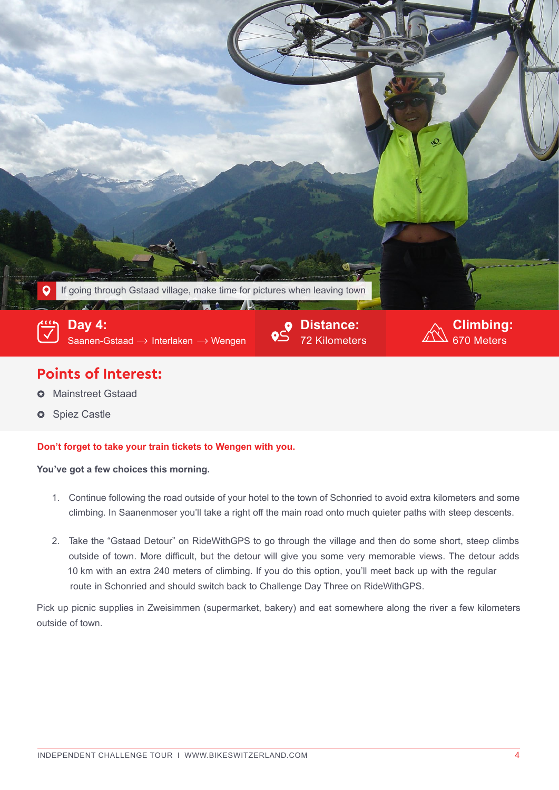

## **Points of Interest:**

- Mainstreet Gstaad Q
- **3** Spiez Castle

## **Don't forget to take your train tickets to Wengen with you.**

## **You've got a few choices this morning.**

- 1. Continue following the road outside of your hotel to the town of Schonried to avoid extra kilometers and some climbing. In Saanenmoser you'll take a right off the main road onto much quieter paths with steep descents.
- 2. Take the "Gstaad Detour" on RideWithGPS to go through the village and then do some short, steep climbs outside of town. More difficult, but the detour will give you some very memorable views. The detour adds 10 km with an extra 240 meters of climbing. If you do this option, you'll meet back up with the regular route in Schonried and should switch back to Challenge Day Three on RideWithGPS.

Pick up picnic supplies in Zweisimmen (supermarket, bakery) and eat somewhere along the river a few kilometers outside of town.